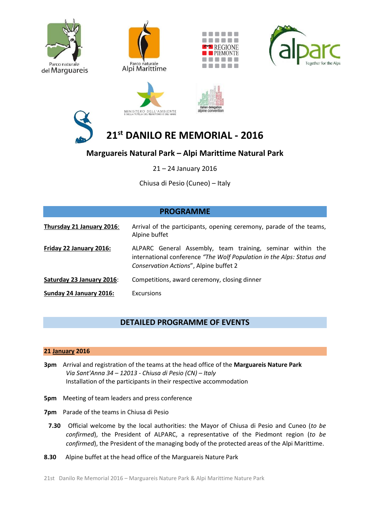













# **21st DANILO RE MEMORIAL - 2016**

## **Marguareis Natural Park – Alpi Marittime Natural Park**

21 – 24 January 2016

Chiusa di Pesio (Cuneo) – Italy

| <b>PROGRAMME</b>          |                                                                                                                                                                               |
|---------------------------|-------------------------------------------------------------------------------------------------------------------------------------------------------------------------------|
| Thursday 21 January 2016: | Arrival of the participants, opening ceremony, parade of the teams,<br>Alpine buffet                                                                                          |
| Friday 22 January 2016:   | ALPARC General Assembly, team training, seminar within the<br>international conference "The Wolf Population in the Alps: Status and<br>Conservation Actions", Alpine buffet 2 |
| Saturday 23 January 2016: | Competitions, award ceremony, closing dinner                                                                                                                                  |
| Sunday 24 January 2016:   | Excursions                                                                                                                                                                    |

## **DETAILED PROGRAMME OF EVENTS**

### **21 January 2016**

- **3pm** Arrival and registration of the teams at the head office of the **Marguareis Nature Park** *Via Sant'Anna 34 – 12013 - Chiusa di Pesio (CN) – Italy* Installation of the participants in their respective accommodation
- **5pm** Meeting of team leaders and press conference
- **7pm** Parade of the teams in Chiusa di Pesio
	- **7.30** Official welcome by the local authorities: the Mayor of Chiusa di Pesio and Cuneo (*to be confirmed*), the President of ALPARC, a representative of the Piedmont region (*to be confirmed*), the President of the managing body of the protected areas of the Alpi Marittime.
- **8.30** Alpine buffet at the head office of the Marguareis Nature Park

21st Danilo Re Memorial 2016 – Marguareis Nature Park & Alpi Marittime Nature Park